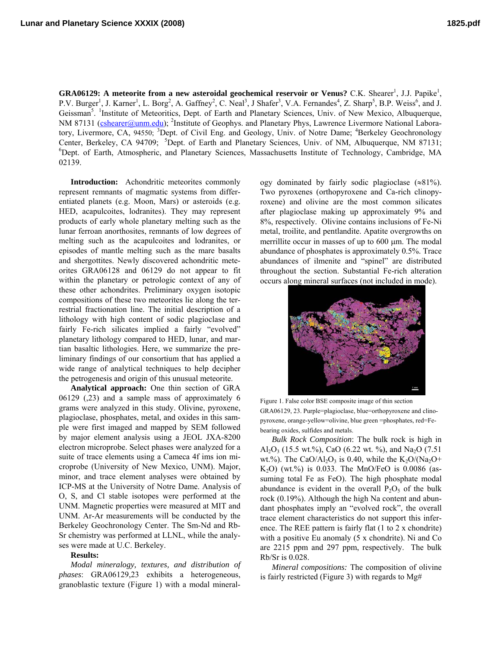**GRA06129:** A meteorite from a new asteroidal geochemical reservoir or Venus? C.K. Shearer<sup>1</sup>, J.J. Papike<sup>1</sup>, P.V. Burger<sup>1</sup>, J. Karner<sup>1</sup>, L. Borg<sup>2</sup>, A. Gaffney<sup>2</sup>, C. Neal<sup>3</sup>, J Shafer<sup>3</sup>, V.A. Fernandes<sup>4</sup>, Z. Sharp<sup>5</sup>, B.P. Weiss<sup>6</sup>, and J. Geissman<sup>5</sup>. <sup>1</sup>Institute of Meteoritics, Dept. of Earth and Planetary Sciences, Univ. of New Mexico, Albuquerque, NM 87131 (*cshearer@unm.edu*); <sup>2</sup>Institute of Geophys. and Planetary Phys, Lawrence Livermore National Laboratory, Livermore, CA, 94550; <sup>3</sup>Dept. of Civil Eng. and Geology, Univ. of Notre Dame; <sup>4</sup>Berkeley Geochronology Center, Berkeley, CA 94709; <sup>5</sup>Dept. of Earth and Planetary Sciences, Univ. of NM, Albuquerque, NM 87131; 6 Dept. of Earth, Atmospheric, and Planetary Sciences, Massachusetts Institute of Technology, Cambridge, MA 02139.

**Introduction:** Achondritic meteorites commonly represent remnants of magmatic systems from differentiated planets (e.g. Moon, Mars) or asteroids (e.g. HED, acapulcoites, lodranites). They may represent products of early whole planetary melting such as the lunar ferroan anorthosites, remnants of low degrees of melting such as the acapulcoites and lodranites, or episodes of mantle melting such as the mare basalts and shergottites. Newly discovered achondritic meteorites GRA06128 and 06129 do not appear to fit within the planetary or petrologic context of any of these other achondrites. Preliminary oxygen isotopic compositions of these two meteorites lie along the terrestrial fractionation line. The initial description of a lithology with high content of sodic plagioclase and fairly Fe-rich silicates implied a fairly "evolved" planetary lithology compared to HED, lunar, and martian basaltic lithologies. Here, we summarize the preliminary findings of our consortium that has applied a wide range of analytical techniques to help decipher the petrogenesis and origin of this unusual meteorite.

**Analytical approach:** One thin section of GRA 06129 (,23) and a sample mass of approximately 6 grams were analyzed in this study. Olivine, pyroxene, plagioclase, phosphates, metal, and oxides in this sample were first imaged and mapped by SEM followed by major element analysis using a JEOL JXA-8200 electron microprobe. Select phases were analyzed for a suite of trace elements using a Cameca 4f ims ion microprobe (University of New Mexico, UNM). Major, minor, and trace element analyses were obtained by ICP-MS at the University of Notre Dame. Analysis of O, S, and Cl stable isotopes were performed at the UNM. Magnetic properties were measured at MIT and UNM. Ar-Ar measurements will be conducted by the Berkeley Geochronology Center. The Sm-Nd and Rb-Sr chemistry was performed at LLNL, while the analyses were made at U.C. Berkeley.

## **Results:**

*Modal mineralogy, textures, and distribution of phases*: GRA06129,23 exhibits a heterogeneous, granoblastic texture (Figure 1) with a modal mineral-

ogy dominated by fairly sodic plagioclase  $(\approx 81\%)$ . Two pyroxenes (orthopyroxene and Ca-rich clinopyroxene) and olivine are the most common silicates after plagioclase making up approximately 9% and 8%, respectively. Olivine contains inclusions of Fe-Ni metal, troilite, and pentlandite. Apatite overgrowths on merrillite occur in masses of up to 600  $\mu$ m. The modal abundance of phosphates is approximately 0.5%. Trace abundances of ilmenite and "spinel" are distributed throughout the section. Substantial Fe-rich alteration occurs along mineral surfaces (not included in mode).



Figure 1. False color BSE composite image of thin section GRA06129, 23. Purple=plagioclase, blue=orthopyroxene and clinopyroxene, orange-yellow=olivine, blue green =phosphates, red=Febearing oxides, sulfides and metals.

*Bulk Rock Composition*: The bulk rock is high in Al<sub>2</sub>O<sub>3</sub> (15.5 wt.%), CaO (6.22 wt. %), and Na<sub>2</sub>O (7.51) wt.%). The CaO/Al<sub>2</sub>O<sub>3</sub> is 0.40, while the K<sub>2</sub>O/(Na<sub>2</sub>O+  $K_2O$ ) (wt.%) is 0.033. The MnO/FeO is 0.0086 (assuming total Fe as FeO). The high phosphate modal abundance is evident in the overall  $P_2O_5$  of the bulk rock (0.19%). Although the high Na content and abundant phosphates imply an "evolved rock", the overall trace element characteristics do not support this inference. The REE pattern is fairly flat (1 to 2 x chondrite) with a positive Eu anomaly (5 x chondrite). Ni and Co are 2215 ppm and 297 ppm, respectively. The bulk Rb/Sr is 0.028.

*Mineral compositions:* The composition of olivine is fairly restricted (Figure 3) with regards to Mg#